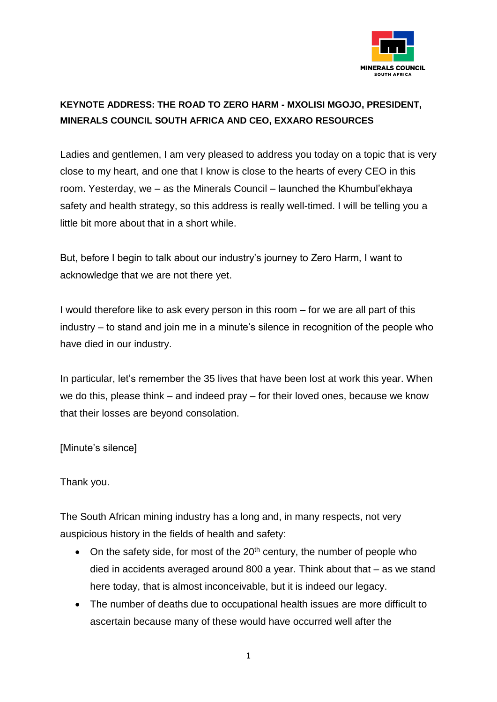

## **KEYNOTE ADDRESS: THE ROAD TO ZERO HARM - MXOLISI MGOJO, PRESIDENT, MINERALS COUNCIL SOUTH AFRICA AND CEO, EXXARO RESOURCES**

Ladies and gentlemen, I am very pleased to address you today on a topic that is very close to my heart, and one that I know is close to the hearts of every CEO in this room. Yesterday, we – as the Minerals Council – launched the Khumbul'ekhaya safety and health strategy, so this address is really well-timed. I will be telling you a little bit more about that in a short while.

But, before I begin to talk about our industry's journey to Zero Harm, I want to acknowledge that we are not there yet.

I would therefore like to ask every person in this room – for we are all part of this industry – to stand and join me in a minute's silence in recognition of the people who have died in our industry.

In particular, let's remember the 35 lives that have been lost at work this year. When we do this, please think – and indeed pray – for their loved ones, because we know that their losses are beyond consolation.

[Minute's silence]

Thank you.

The South African mining industry has a long and, in many respects, not very auspicious history in the fields of health and safety:

- On the safety side, for most of the  $20<sup>th</sup>$  century, the number of people who died in accidents averaged around 800 a year. Think about that – as we stand here today, that is almost inconceivable, but it is indeed our legacy.
- The number of deaths due to occupational health issues are more difficult to ascertain because many of these would have occurred well after the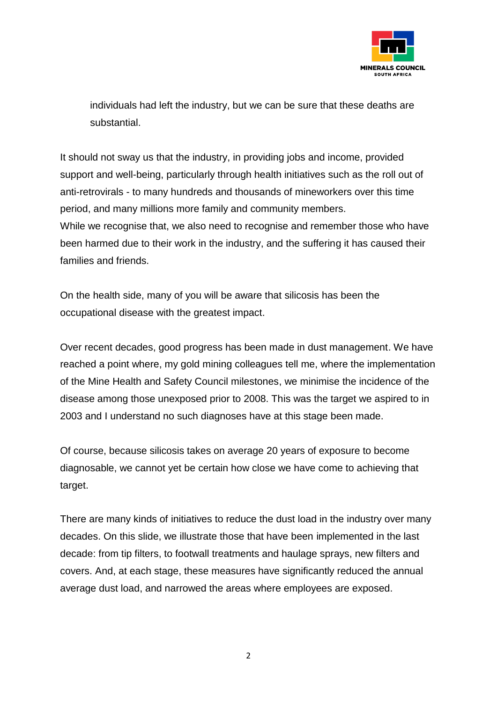

individuals had left the industry, but we can be sure that these deaths are substantial.

It should not sway us that the industry, in providing jobs and income, provided support and well-being, particularly through health initiatives such as the roll out of anti-retrovirals - to many hundreds and thousands of mineworkers over this time period, and many millions more family and community members. While we recognise that, we also need to recognise and remember those who have been harmed due to their work in the industry, and the suffering it has caused their families and friends.

On the health side, many of you will be aware that silicosis has been the occupational disease with the greatest impact.

Over recent decades, good progress has been made in dust management. We have reached a point where, my gold mining colleagues tell me, where the implementation of the Mine Health and Safety Council milestones, we minimise the incidence of the disease among those unexposed prior to 2008. This was the target we aspired to in 2003 and I understand no such diagnoses have at this stage been made.

Of course, because silicosis takes on average 20 years of exposure to become diagnosable, we cannot yet be certain how close we have come to achieving that target.

There are many kinds of initiatives to reduce the dust load in the industry over many decades. On this slide, we illustrate those that have been implemented in the last decade: from tip filters, to footwall treatments and haulage sprays, new filters and covers. And, at each stage, these measures have significantly reduced the annual average dust load, and narrowed the areas where employees are exposed.

2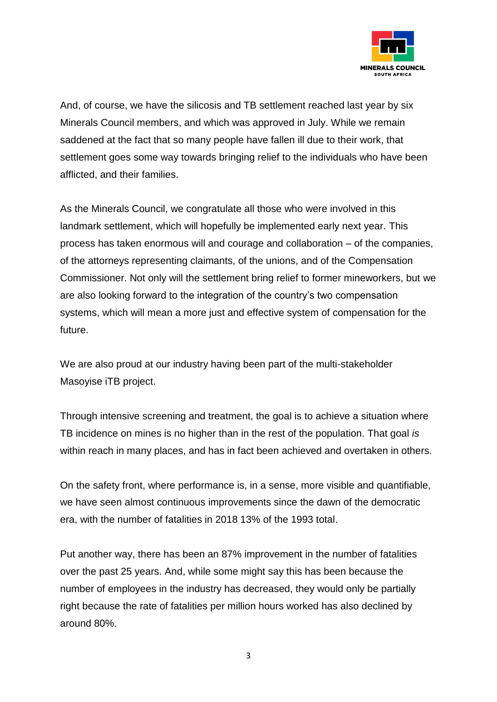

And, of course, we have the silicosis and TB settlement reached last year by six Minerals Council members, and which was approved in July. While we remain saddened at the fact that so many people have fallen ill due to their work, that settlement goes some way towards bringing relief to the individuals who have been afflicted, and their families.

As the Minerals Council, we congratulate all those who were involved in this landmark settlement, which will hopefully be implemented early next year. This process has taken enormous will and courage and collaboration – of the companies, of the attorneys representing claimants, of the unions, and of the Compensation Commissioner. Not only will the settlement bring relief to former mineworkers, but we are also looking forward to the integration of the country's two compensation systems, which will mean a more just and effective system of compensation for the future.

We are also proud at our industry having been part of the multi-stakeholder Masoyise iTB project.

Through intensive screening and treatment, the goal is to achieve a situation where TB incidence on mines is no higher than in the rest of the population. That goal *is* within reach in many places, and has in fact been achieved and overtaken in others.

On the safety front, where performance is, in a sense, more visible and quantifiable, we have seen almost continuous improvements since the dawn of the democratic era, with the number of fatalities in 2018 13% of the 1993 total.

Put another way, there has been an 87% improvement in the number of fatalities over the past 25 years. And, while some might say this has been because the number of employees in the industry has decreased, they would only be partially right because the rate of fatalities per million hours worked has also declined by around 80%.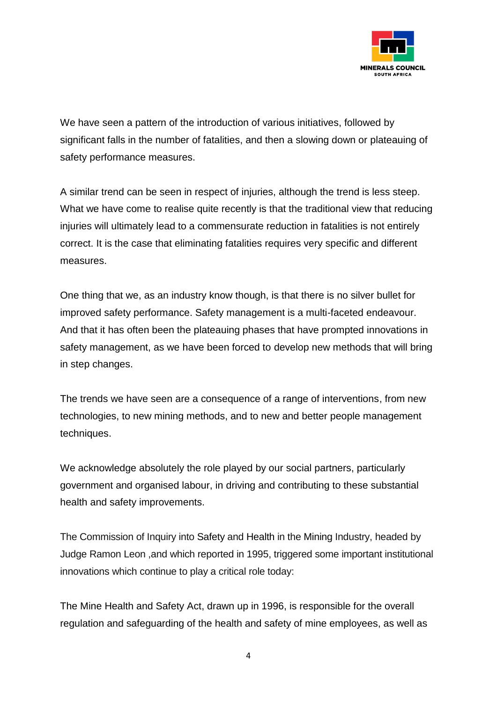

We have seen a pattern of the introduction of various initiatives, followed by significant falls in the number of fatalities, and then a slowing down or plateauing of safety performance measures.

A similar trend can be seen in respect of injuries, although the trend is less steep. What we have come to realise quite recently is that the traditional view that reducing injuries will ultimately lead to a commensurate reduction in fatalities is not entirely correct. It is the case that eliminating fatalities requires very specific and different measures.

One thing that we, as an industry know though, is that there is no silver bullet for improved safety performance. Safety management is a multi-faceted endeavour. And that it has often been the plateauing phases that have prompted innovations in safety management, as we have been forced to develop new methods that will bring in step changes.

The trends we have seen are a consequence of a range of interventions, from new technologies, to new mining methods, and to new and better people management techniques.

We acknowledge absolutely the role played by our social partners, particularly government and organised labour, in driving and contributing to these substantial health and safety improvements.

The Commission of Inquiry into [Safety](https://www.miningweekly.com/topic/safety) and [Health](https://www.miningweekly.com/topic/health) in the [Mining](https://www.miningweekly.com/topic/mining) Industry, headed by Judge Ramon Leon ,and which reported in 1995, triggered some important institutional innovations which continue to play a critical role today:

The Mine Health and Safety Act, drawn up in 1996, is responsible for the overall regulation and safeguarding of the health and safety of mine employees, as well as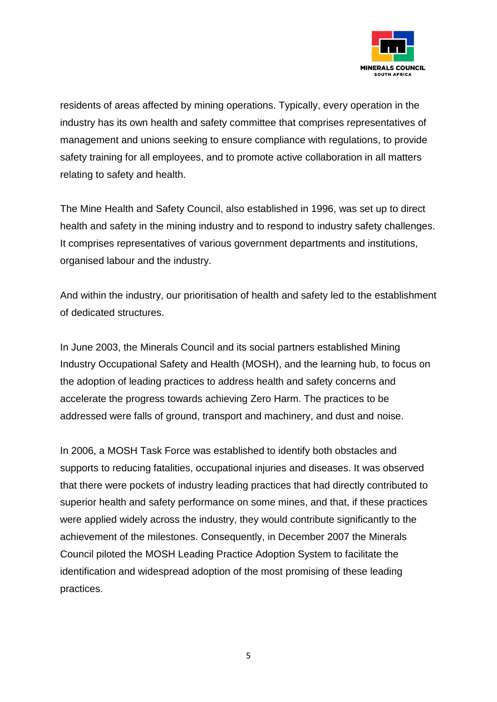

residents of areas affected by mining operations. Typically, every operation in the industry has its own health and safety committee that comprises representatives of management and unions seeking to ensure compliance with regulations, to provide safety training for all employees, and to promote active collaboration in all matters relating to safety and health.

The Mine Health and Safety Council, also established in 1996, was set up to direct health and safety in the mining industry and to respond to industry safety challenges. It comprises representatives of various government departments and institutions, organised labour and the industry.

And within the industry, our prioritisation of health and safety led to the establishment of dedicated structures.

In June 2003, the Minerals Council and its social partners established Mining Industry Occupational Safety and Health (MOSH), and the learning hub, to focus on the adoption of leading practices to address health and safety concerns and accelerate the progress towards achieving Zero Harm. The practices to be addressed were falls of ground, transport and machinery, and dust and noise.

In 2006, a MOSH Task Force was established to identify both obstacles and supports to reducing fatalities, occupational injuries and diseases. It was observed that there were pockets of industry leading practices that had directly contributed to superior health and safety performance on some mines, and that, if these practices were applied widely across the industry, they would contribute significantly to the achievement of the milestones. Consequently, in December 2007 the Minerals Council piloted the MOSH Leading Practice Adoption System to facilitate the identification and widespread adoption of the most promising of these leading practices.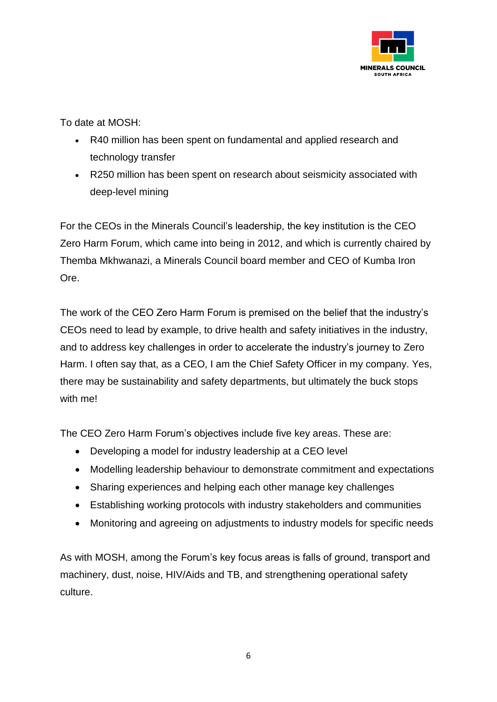

To date at MOSH:

- R40 million has been spent on fundamental and applied research and technology transfer
- R250 million has been spent on research about seismicity associated with deep-level mining

For the CEOs in the Minerals Council's leadership, the key institution is the CEO Zero Harm Forum, which came into being in 2012, and which is currently chaired by Themba Mkhwanazi, a Minerals Council board member and CEO of Kumba Iron Ore.

The work of the CEO Zero Harm Forum is premised on the belief that the industry's CEOs need to lead by example, to drive health and safety initiatives in the industry, and to address key challenges in order to accelerate the industry's journey to Zero Harm. I often say that, as a CEO, I am the Chief Safety Officer in my company. Yes, there may be sustainability and safety departments, but ultimately the buck stops with me!

The CEO Zero Harm Forum's objectives include five key areas. These are:

- Developing a model for industry leadership at a CEO level
- Modelling leadership behaviour to demonstrate commitment and expectations
- Sharing experiences and helping each other manage key challenges
- Establishing working protocols with industry stakeholders and communities
- Monitoring and agreeing on adjustments to industry models for specific needs

As with MOSH, among the Forum's key focus areas is falls of ground, transport and machinery, dust, noise, HIV/Aids and TB, and strengthening operational safety culture.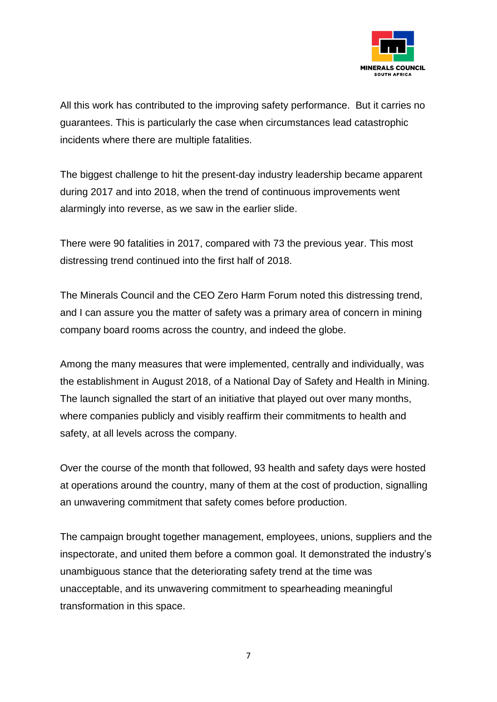

All this work has contributed to the improving safety performance. But it carries no guarantees. This is particularly the case when circumstances lead catastrophic incidents where there are multiple fatalities.

The biggest challenge to hit the present-day industry leadership became apparent during 2017 and into 2018, when the trend of continuous improvements went alarmingly into reverse, as we saw in the earlier slide.

There were 90 fatalities in 2017, compared with 73 the previous year. This most distressing trend continued into the first half of 2018.

The Minerals Council and the CEO Zero Harm Forum noted this distressing trend, and I can assure you the matter of safety was a primary area of concern in mining company board rooms across the country, and indeed the globe.

Among the many measures that were implemented, centrally and individually, was the establishment in August 2018, of a National Day of Safety and Health in Mining. The launch signalled the start of an initiative that played out over many months, where companies publicly and visibly reaffirm their commitments to health and safety, at all levels across the company.

Over the course of the month that followed, 93 health and safety days were hosted at operations around the country, many of them at the cost of production, signalling an unwavering commitment that safety comes before production.

The campaign brought together management, employees, unions, suppliers and the inspectorate, and united them before a common goal. It demonstrated the industry's unambiguous stance that the deteriorating safety trend at the time was unacceptable, and its unwavering commitment to spearheading meaningful transformation in this space.

7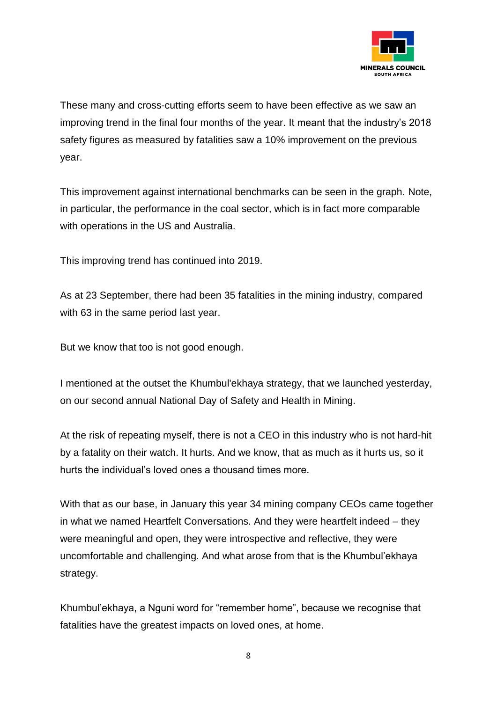

These many and cross-cutting efforts seem to have been effective as we saw an improving trend in the final four months of the year. It meant that the industry's 2018 safety figures as measured by fatalities saw a 10% improvement on the previous year.

This improvement against international benchmarks can be seen in the graph. Note, in particular, the performance in the coal sector, which is in fact more comparable with operations in the US and Australia.

This improving trend has continued into 2019.

As at 23 September, there had been 35 fatalities in the mining industry, compared with 63 in the same period last year.

But we know that too is not good enough.

I mentioned at the outset the Khumbul'ekhaya strategy, that we launched yesterday, on our second annual National Day of Safety and Health in Mining.

At the risk of repeating myself, there is not a CEO in this industry who is not hard-hit by a fatality on their watch. It hurts. And we know, that as much as it hurts us, so it hurts the individual's loved ones a thousand times more.

With that as our base, in January this year 34 mining company CEOs came together in what we named Heartfelt Conversations. And they were heartfelt indeed – they were meaningful and open, they were introspective and reflective, they were uncomfortable and challenging. And what arose from that is the Khumbul'ekhaya strategy.

Khumbul'ekhaya, a Nguni word for "remember home", because we recognise that fatalities have the greatest impacts on loved ones, at home.